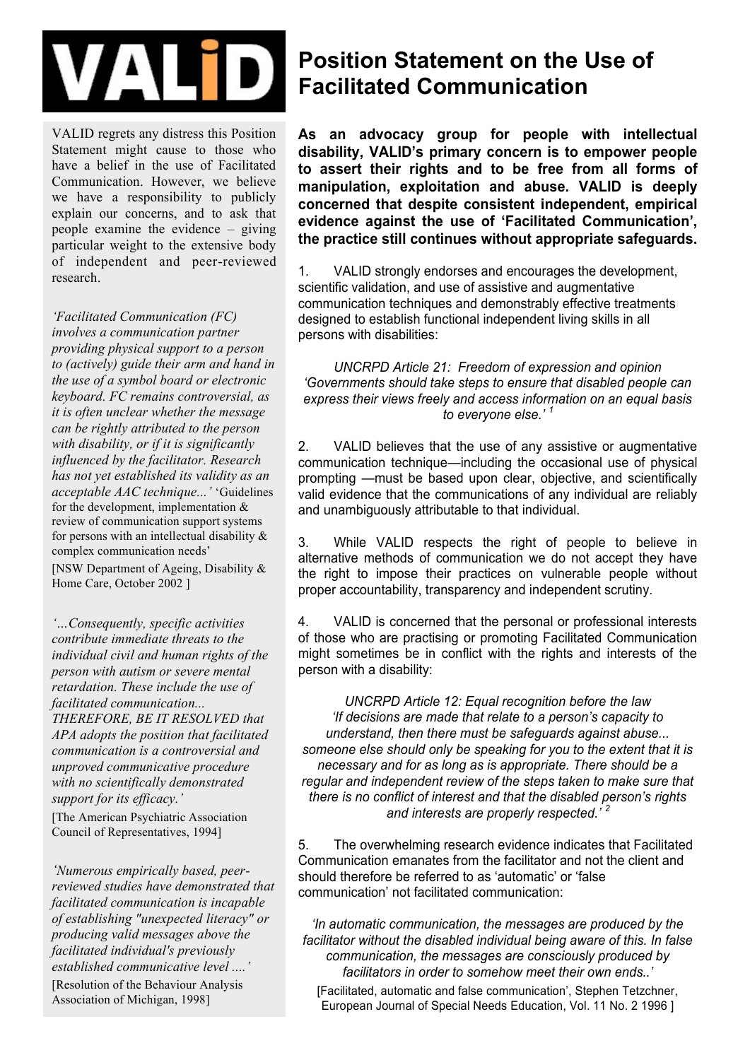

VALID regrets any distress this Position Statement might cause to those who have a belief in the use of Facilitated Communication. However, we believe we have a responsibility to publicly explain our concerns, and to ask that people examine the evidence – giving particular weight to the extensive body of independent and peer-reviewed research.

*'Facilitated Communication (FC) involves a communication partner providing physical support to a person to (actively) guide their arm and hand in the use of a symbol board or electronic keyboard. FC remains controversial, as it is often unclear whether the message can be rightly attributed to the person with disability, or if it is significantly influenced by the facilitator. Research has not yet established its validity as an acceptable AAC technique...'* 'Guidelines for the development, implementation & review of communication support systems for persons with an intellectual disability & complex communication needs' [NSW Department of Ageing, Disability &

Home Care, October 2002 ]

*'…Consequently, specific activities contribute immediate threats to the individual civil and human rights of the person with autism or severe mental retardation. These include the use of facilitated communication... THEREFORE, BE IT RESOLVED that APA adopts the position that facilitated communication is a controversial and unproved communicative procedure with no scientifically demonstrated support for its efficacy.'*  [The American Psychiatric Association Council of Representatives, 1994]

*'Numerous empirically based, peerreviewed studies have demonstrated that facilitated communication is incapable of establishing "unexpected literacy" or producing valid messages above the facilitated individual's previously established communicative level ....'* [Resolution of the Behaviour Analysis Association of Michigan, 1998]

## **Position Statement on the Use of Facilitated Communication**

**As an advocacy group for people with intellectual disability, VALID's primary concern is to empower people to assert their rights and to be free from all forms of manipulation, exploitation and abuse. VALID is deeply concerned that despite consistent independent, empirical evidence against the use of 'Facilitated Communication', the practice still continues without appropriate safeguards.** 

1. VALID strongly endorses and encourages the development, scientific validation, and use of assistive and augmentative communication techniques and demonstrably effective treatments designed to establish functional independent living skills in all persons with disabilities:

*UNCRPD Article 21: Freedom of expression and opinion 'Governments should take steps to ensure that disabled people can express their views freely and access information on an equal basis to everyone else.' <sup>1</sup>*

2. VALID believes that the use of any assistive or augmentative communication technique—including the occasional use of physical prompting —must be based upon clear, objective, and scientifically valid evidence that the communications of any individual are reliably and unambiguously attributable to that individual.

3. While VALID respects the right of people to believe in alternative methods of communication we do not accept they have the right to impose their practices on vulnerable people without proper accountability, transparency and independent scrutiny.

4. VALID is concerned that the personal or professional interests of those who are practising or promoting Facilitated Communication might sometimes be in conflict with the rights and interests of the person with a disability:

*UNCRPD Article 12: Equal recognition before the law 'If decisions are made that relate to a person's capacity to understand, then there must be safeguards against abuse... someone else should only be speaking for you to the extent that it is necessary and for as long as is appropriate. There should be a regular and independent review of the steps taken to make sure that there is no conflict of interest and that the disabled person's rights and interests are properly respected.' <sup>2</sup>*

5. The overwhelming research evidence indicates that Facilitated Communication emanates from the facilitator and not the client and should therefore be referred to as 'automatic' or 'false communication' not facilitated communication:

*'In automatic communication, the messages are produced by the facilitator without the disabled individual being aware of this. In false communication, the messages are consciously produced by facilitators in order to somehow meet their own ends..'* 

[Facilitated, automatic and false communication', Stephen Tetzchner, European Journal of Special Needs Education, Vol. 11 No. 2 1996 ]